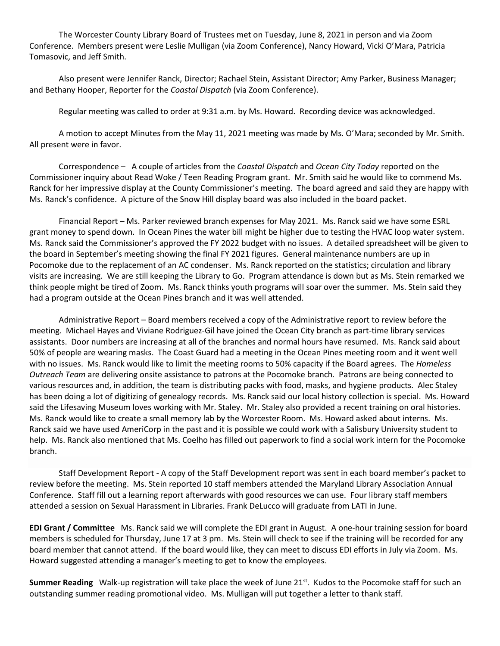The Worcester County Library Board of Trustees met on Tuesday, June 8, 2021 in person and via Zoom Conference. Members present were Leslie Mulligan (via Zoom Conference), Nancy Howard, Vicki O'Mara, Patricia Tomasovic, and Jeff Smith.

Also present were Jennifer Ranck, Director; Rachael Stein, Assistant Director; Amy Parker, Business Manager; and Bethany Hooper, Reporter for the *Coastal Dispatch* (via Zoom Conference).

Regular meeting was called to order at 9:31 a.m. by Ms. Howard. Recording device was acknowledged.

A motion to accept Minutes from the May 11, 2021 meeting was made by Ms. O'Mara; seconded by Mr. Smith. All present were in favor.

Correspondence – A couple of articles from the *Coastal Dispatch* and *Ocean City Today* reported on the Commissioner inquiry about Read Woke / Teen Reading Program grant. Mr. Smith said he would like to commend Ms. Ranck for her impressive display at the County Commissioner's meeting. The board agreed and said they are happy with Ms. Ranck's confidence. A picture of the Snow Hill display board was also included in the board packet.

Financial Report – Ms. Parker reviewed branch expenses for May 2021. Ms. Ranck said we have some ESRL grant money to spend down. In Ocean Pines the water bill might be higher due to testing the HVAC loop water system. Ms. Ranck said the Commissioner's approved the FY 2022 budget with no issues. A detailed spreadsheet will be given to the board in September's meeting showing the final FY 2021 figures. General maintenance numbers are up in Pocomoke due to the replacement of an AC condenser. Ms. Ranck reported on the statistics; circulation and library visits are increasing. We are still keeping the Library to Go. Program attendance is down but as Ms. Stein remarked we think people might be tired of Zoom. Ms. Ranck thinks youth programs will soar over the summer. Ms. Stein said they had a program outside at the Ocean Pines branch and it was well attended.

Administrative Report – Board members received a copy of the Administrative report to review before the meeting. Michael Hayes and Viviane Rodriguez-Gil have joined the Ocean City branch as part-time library services assistants. Door numbers are increasing at all of the branches and normal hours have resumed. Ms. Ranck said about 50% of people are wearing masks. The Coast Guard had a meeting in the Ocean Pines meeting room and it went well with no issues. Ms. Ranck would like to limit the meeting rooms to 50% capacity if the Board agrees. The *Homeless Outreach Team* are delivering onsite assistance to patrons at the Pocomoke branch. Patrons are being connected to various resources and, in addition, the team is distributing packs with food, masks, and hygiene products. Alec Staley has been doing a lot of digitizing of genealogy records. Ms. Ranck said our local history collection is special. Ms. Howard said the Lifesaving Museum loves working with Mr. Staley. Mr. Staley also provided a recent training on oral histories. Ms. Ranck would like to create a small memory lab by the Worcester Room. Ms. Howard asked about interns. Ms. Ranck said we have used AmeriCorp in the past and it is possible we could work with a Salisbury University student to help. Ms. Ranck also mentioned that Ms. Coelho has filled out paperwork to find a social work intern for the Pocomoke branch.

Staff Development Report - A copy of the Staff Development report was sent in each board member's packet to review before the meeting. Ms. Stein reported 10 staff members attended the Maryland Library Association Annual Conference. Staff fill out a learning report afterwards with good resources we can use. Four library staff members attended a session on Sexual Harassment in Libraries. Frank DeLucco will graduate from LATI in June.

**EDI Grant / Committee** Ms. Ranck said we will complete the EDI grant in August. A one-hour training session for board members is scheduled for Thursday, June 17 at 3 pm. Ms. Stein will check to see if the training will be recorded for any board member that cannot attend. If the board would like, they can meet to discuss EDI efforts in July via Zoom. Ms. Howard suggested attending a manager's meeting to get to know the employees.

**Summer Reading** Walk-up registration will take place the week of June 21<sup>st</sup>. Kudos to the Pocomoke staff for such an outstanding summer reading promotional video. Ms. Mulligan will put together a letter to thank staff.